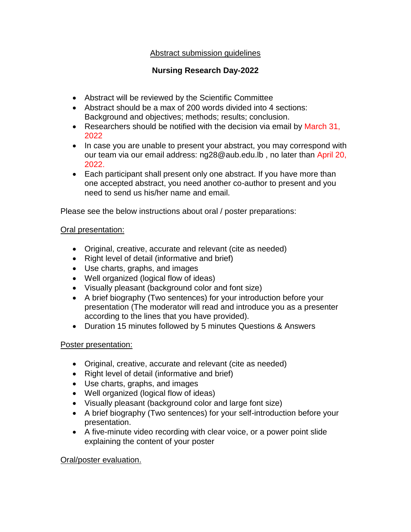## Abstract submission guidelines

# **Nursing Research Day-2022**

- Abstract will be reviewed by the Scientific Committee
- Abstract should be a max of 200 words divided into 4 sections: Background and objectives; methods; results; conclusion.
- Researchers should be notified with the decision via email by March 31, 2022
- In case you are unable to present your abstract, you may correspond with our team via our email address: [ng28@aub.edu.lb](mailto:ng28@aub.edu.lb) , no later than April 20, 2022.
- Each participant shall present only one abstract. If you have more than one accepted abstract, you need another co-author to present and you need to send us his/her name and email.

Please see the below instructions about oral / poster preparations:

### Oral presentation:

- Original, creative, accurate and relevant (cite as needed)
- Right level of detail (informative and brief)
- Use charts, graphs, and images
- Well organized (logical flow of ideas)
- Visually pleasant (background color and font size)
- A brief biography (Two sentences) for your introduction before your presentation (The moderator will read and introduce you as a presenter according to the lines that you have provided).
- Duration 15 minutes followed by 5 minutes Questions & Answers

#### Poster presentation:

- Original, creative, accurate and relevant (cite as needed)
- Right level of detail (informative and brief)
- Use charts, graphs, and images
- Well organized (logical flow of ideas)
- Visually pleasant (background color and large font size)
- A brief biography (Two sentences) for your self-introduction before your presentation.
- A five-minute video recording with clear voice, or a power point slide explaining the content of your poster

## Oral/poster evaluation.